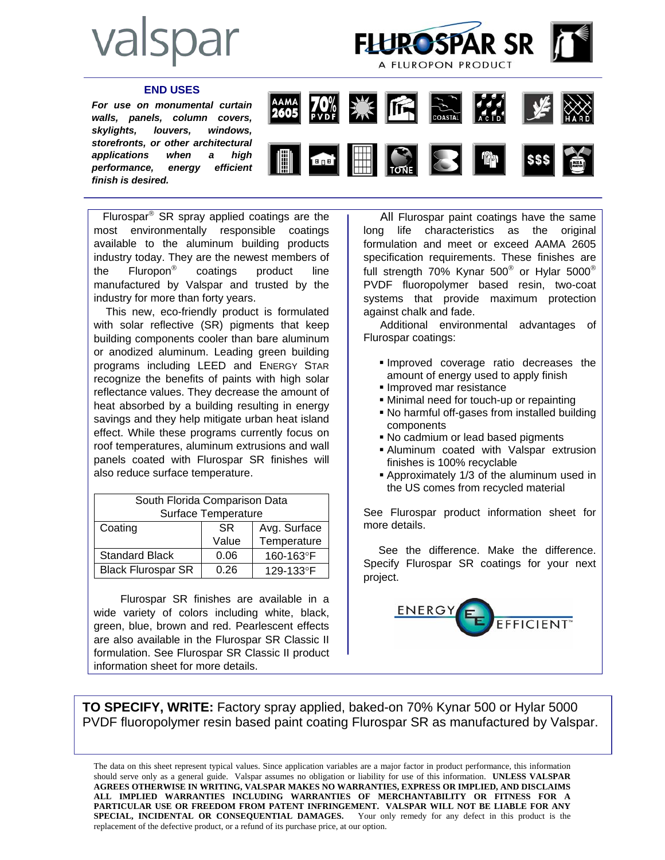



## **END USES**

*For use on monumental curtain walls, panels, column covers, skylights, louvers, windows, storefronts, or other architectural applications when a high performance, energy efficient finish is desired.* 



 Flurospar® SR spray applied coatings are the most environmentally responsible coatings available to the aluminum building products industry today. They are the newest members of the Fluropon® coatings product line manufactured by Valspar and trusted by the industry for more than forty years.

 This new, eco-friendly product is formulated with solar reflective (SR) pigments that keep building components cooler than bare aluminum or anodized aluminum. Leading green building programs including LEED and ENERGY STAR recognize the benefits of paints with high solar reflectance values. They decrease the amount of heat absorbed by a building resulting in energy savings and they help mitigate urban heat island effect. While these programs currently focus on roof temperatures, aluminum extrusions and wall panels coated with Flurospar SR finishes will also reduce surface temperature.

| South Florida Comparison Data |           |              |  |
|-------------------------------|-----------|--------------|--|
| Surface Temperature           |           |              |  |
| Coating                       | <b>SR</b> | Avg. Surface |  |
|                               | Value     | Temperature  |  |
| <b>Standard Black</b>         | 0.06      | 160-163°F    |  |
| <b>Black Flurospar SR</b>     | 0.26      | 129-133°F    |  |

 Flurospar SR finishes are available in a wide variety of colors including white, black, green, blue, brown and red. Pearlescent effects are also available in the Flurospar SR Classic II formulation. See Flurospar SR Classic II product information sheet for more details.

 All Flurospar paint coatings have the same long life characteristics as the original formulation and meet or exceed AAMA 2605 specification requirements. These finishes are full strength 70% Kynar 500<sup>®</sup> or Hylar 5000<sup>®</sup> PVDF fluoropolymer based resin, two-coat systems that provide maximum protection against chalk and fade.

 Additional environmental advantages of Flurospar coatings:

- Improved coverage ratio decreases the amount of energy used to apply finish
- **Improved mar resistance**
- Minimal need for touch-up or repainting
- No harmful off-gases from installed building components
- No cadmium or lead based pigments
- Aluminum coated with Valspar extrusion finishes is 100% recyclable
- Approximately 1/3 of the aluminum used in the US comes from recycled material

See Flurospar product information sheet for more details.

 See the difference. Make the difference. Specify Flurospar SR coatings for your next project.



**TO SPECIFY, WRITE:** Factory spray applied, baked-on 70% Kynar 500 or Hylar 5000 PVDF fluoropolymer resin based paint coating Flurospar SR as manufactured by Valspar.

The data on this sheet represent typical values. Since application variables are a major factor in product performance, this information should serve only as a general guide. Valspar assumes no obligation or liability for use of this information. **UNLESS VALSPAR AGREES OTHERWISE IN WRITING, VALSPAR MAKES NO WARRANTIES, EXPRESS OR IMPLIED, AND DISCLAIMS ALL IMPLIED WARRANTIES INCLUDING WARRANTIES OF MERCHANTABILITY OR FITNESS FOR A PARTICULAR USE OR FREEDOM FROM PATENT INFRINGEMENT. VALSPAR WILL NOT BE LIABLE FOR ANY SPECIAL, INCIDENTAL OR CONSEQUENTIAL DAMAGES.** Your only remedy for any defect in this product is the replacement of the defective product, or a refund of its purchase price, at our option.